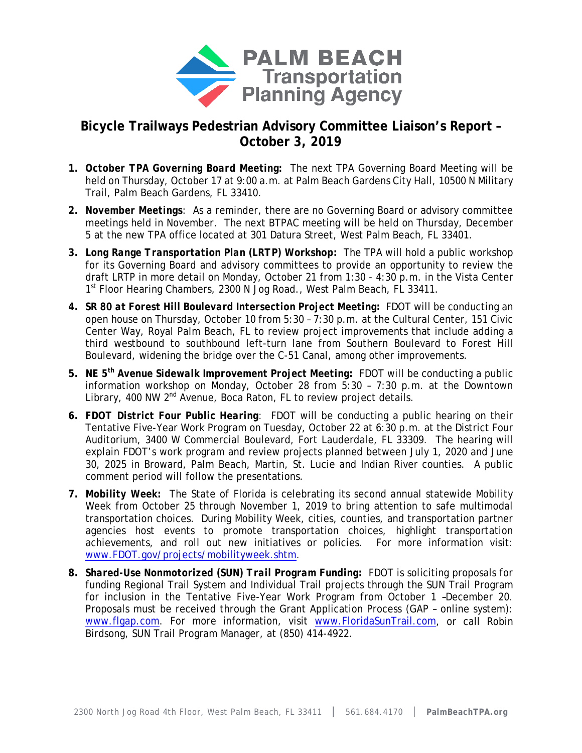

## **Bicycle Trailways Pedestrian Advisory Committee Liaison's Report – October 3, 2019**

- **1.** *October TPA Governing Board Meeting:* The next TPA Governing Board Meeting will be held on Thursday, October 17 at 9:00 a.m. at Palm Beach Gardens City Hall, 10500 N Military Trail, Palm Beach Gardens, FL 33410.
- **2.** *November Meetings*: As a reminder, there are no Governing Board or advisory committee meetings held in November. The next BTPAC meeting will be held on Thursday, December 5 at the new TPA office located at 301 Datura Street, West Palm Beach, FL 33401.
- **3.** *Long Range Transportation Plan (LRTP) Workshop:* The TPA will hold a public workshop for its Governing Board and advisory committees to provide an opportunity to review the draft LRTP in more detail on Monday, October 21 from 1:30 - 4:30 p.m. in the Vista Center 1<sup>st</sup> Floor Hearing Chambers, 2300 N Jog Road., West Palm Beach, FL 33411.
- **4.** *SR 80 at Forest Hill Boulevard Intersection Project Meeting:* FDOT will be conducting an open house on Thursday, October 10 from 5:30 – 7:30 p.m. at the Cultural Center, 151 Civic Center Way, Royal Palm Beach, FL to review project improvements that include adding a third westbound to southbound left-turn lane from Southern Boulevard to Forest Hill Boulevard, widening the bridge over the C-51 Canal, among other improvements.
- **5.** *NE 5th Avenue Sidewalk Improvement Project Meeting:* FDOT will be conducting a public information workshop on Monday, October 28 from 5:30 – 7:30 p.m. at the Downtown Library, 400 NW 2<sup>nd</sup> Avenue, Boca Raton, FL to review project details.
- **6.** *FDOT District Four Public Hearing*: FDOT will be conducting a public hearing on their Tentative Five-Year Work Program on Tuesday, October 22 at 6:30 p.m. at the District Four Auditorium, 3400 W Commercial Boulevard, Fort Lauderdale, FL 33309. The hearing will explain FDOT's work program and review projects planned between July 1, 2020 and June 30, 2025 in Broward, Palm Beach, Martin, St. Lucie and Indian River counties. A public comment period will follow the presentations.
- **7.** *Mobility Week:* The State of Florida is celebrating its second annual statewide Mobility Week from October 25 through November 1, 2019 to bring attention to safe multimodal transportation choices. During Mobility Week, cities, counties, and transportation partner agencies host events to promote transportation choices, highlight transportation achievements, and roll out new initiatives or policies. For more information visit: [www.FDOT.gov/projects/mobilityweek.shtm.](http://www.fdot.gov/projects/mobilityweek.shtm)
- **8.** *Shared-Use Nonmotorized (SUN) Trail Program Funding:* FDOT is soliciting proposals for funding Regional Trail System and Individual Trail projects through the SUN Trail Program for inclusion in the Tentative Five-Year Work Program from October 1 –December 20. Proposals must be received through the Grant Application Process (GAP – online system): [www.flgap.com.](http://www.flgap.com/) For more information, visit [www.FloridaSunTrail.com,](http://www.floridasuntrail.com/) or call Robin Birdsong, SUN Trail Program Manager, at (850) 414-4922.